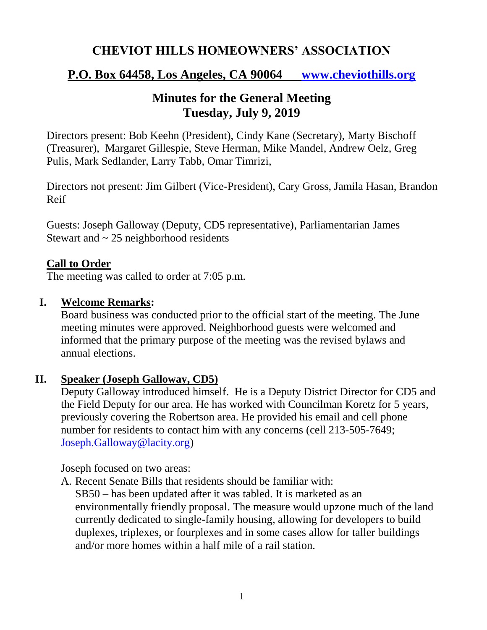# **CHEVIOT HILLS HOMEOWNERS' ASSOCIATION**

## **P.O. Box 64458, Los Angeles, CA 90064 [www.cheviothills.org](http://www.cheviothills.org/)**

## **Minutes for the General Meeting Tuesday, July 9, 2019**

Directors present: Bob Keehn (President), Cindy Kane (Secretary), Marty Bischoff (Treasurer), Margaret Gillespie, Steve Herman, Mike Mandel, Andrew Oelz, Greg Pulis, Mark Sedlander, Larry Tabb, Omar Timrizi,

Directors not present: Jim Gilbert (Vice-President), Cary Gross, Jamila Hasan, Brandon Reif

Guests: Joseph Galloway (Deputy, CD5 representative), Parliamentarian James Stewart and  $\sim$  25 neighborhood residents

#### **Call to Order**

The meeting was called to order at 7:05 p.m.

#### **I. Welcome Remarks:**

Board business was conducted prior to the official start of the meeting. The June meeting minutes were approved. Neighborhood guests were welcomed and informed that the primary purpose of the meeting was the revised bylaws and annual elections.

### **II. Speaker (Joseph Galloway, CD5)**

Deputy Galloway introduced himself. He is a Deputy District Director for CD5 and the Field Deputy for our area. He has worked with Councilman Koretz for 5 years, previously covering the Robertson area. He provided his email and cell phone number for residents to contact him with any concerns (cell 213-505-7649; [Joseph.Galloway@lacity.org\)](mailto:Joseph.Galloway@lacity.org)

Joseph focused on two areas:

A. Recent Senate Bills that residents should be familiar with: SB50 – has been updated after it was tabled. It is marketed as an environmentally friendly proposal. The measure would upzone much of the land currently dedicated to single-family housing, allowing for developers to build duplexes, triplexes, or fourplexes and in some cases allow for taller buildings and/or more homes within a half mile of a rail station.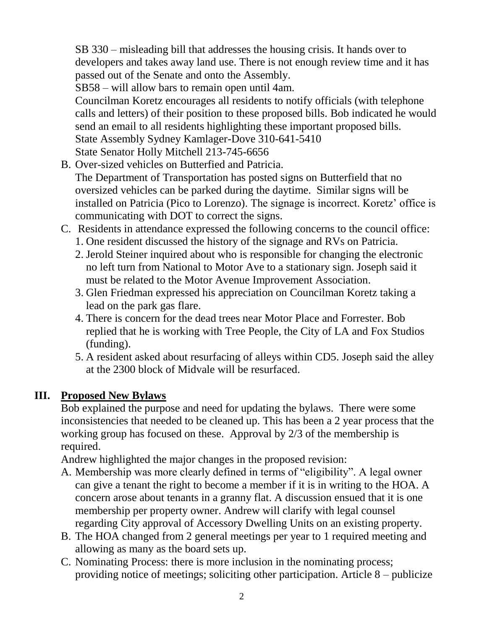SB 330 – misleading bill that addresses the housing crisis. It hands over to developers and takes away land use. There is not enough review time and it has passed out of the Senate and onto the Assembly.

SB58 – will allow bars to remain open until 4am.

Councilman Koretz encourages all residents to notify officials (with telephone calls and letters) of their position to these proposed bills. Bob indicated he would send an email to all residents highlighting these important proposed bills. State Assembly Sydney Kamlager-Dove 310-641-5410

State Senator Holly Mitchell 213-745-6656

- B. Over-sized vehicles on Butterfied and Patricia. The Department of Transportation has posted signs on Butterfield that no oversized vehicles can be parked during the daytime. Similar signs will be installed on Patricia (Pico to Lorenzo). The signage is incorrect. Koretz' office is communicating with DOT to correct the signs.
- C. Residents in attendance expressed the following concerns to the council office: 1. One resident discussed the history of the signage and RVs on Patricia.
	- 2. Jerold Steiner inquired about who is responsible for changing the electronic no left turn from National to Motor Ave to a stationary sign. Joseph said it must be related to the Motor Avenue Improvement Association.
	- 3. Glen Friedman expressed his appreciation on Councilman Koretz taking a lead on the park gas flare.
	- 4. There is concern for the dead trees near Motor Place and Forrester. Bob replied that he is working with Tree People, the City of LA and Fox Studios (funding).
	- 5. A resident asked about resurfacing of alleys within CD5. Joseph said the alley at the 2300 block of Midvale will be resurfaced.

# **III. Proposed New Bylaws**

Bob explained the purpose and need for updating the bylaws. There were some inconsistencies that needed to be cleaned up. This has been a 2 year process that the working group has focused on these. Approval by 2/3 of the membership is required.

Andrew highlighted the major changes in the proposed revision:

- A. Membership was more clearly defined in terms of "eligibility". A legal owner can give a tenant the right to become a member if it is in writing to the HOA. A concern arose about tenants in a granny flat. A discussion ensued that it is one membership per property owner. Andrew will clarify with legal counsel regarding City approval of Accessory Dwelling Units on an existing property.
- B. The HOA changed from 2 general meetings per year to 1 required meeting and allowing as many as the board sets up.
- C. Nominating Process: there is more inclusion in the nominating process; providing notice of meetings; soliciting other participation. Article 8 – publicize